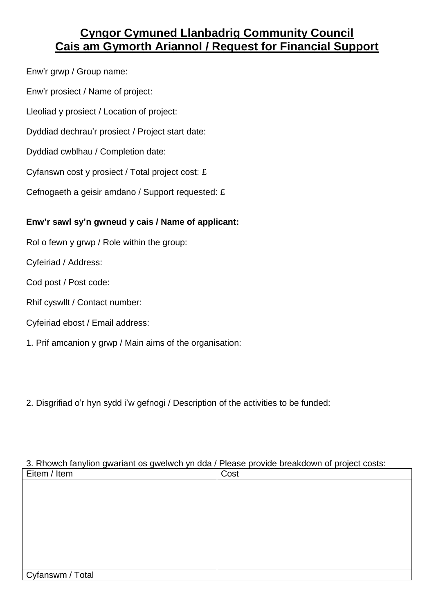# **Cyngor Cymuned Llanbadrig Community Council Cais am Gymorth Ariannol / Request for Financial Support**

Enw'r grwp / Group name: Enw'r prosiect / Name of project: Lleoliad y prosiect / Location of project: Dyddiad dechrau'r prosiect / Project start date: Dyddiad cwblhau / Completion date: Cyfanswn cost y prosiect / Total project cost: £ Cefnogaeth a geisir amdano / Support requested: £ **Enw'r sawl sy'n gwneud y cais / Name of applicant:** Rol o fewn y grwp / Role within the group:

Cyfeiriad / Address:

Cod post / Post code:

- Rhif cyswllt / Contact number:
- Cyfeiriad ebost / Email address:
- 1. Prif amcanion y grwp / Main aims of the organisation:

2. Disgrifiad o'r hyn sydd i'w gefnogi / Description of the activities to be funded:

# 3. Rhowch fanylion gwariant os gwelwch yn dda / Please provide breakdown of project costs:

| Eitem / Item     | Cost |
|------------------|------|
|                  |      |
|                  |      |
|                  |      |
|                  |      |
|                  |      |
|                  |      |
|                  |      |
|                  |      |
| Cyfanswm / Total |      |
|                  |      |